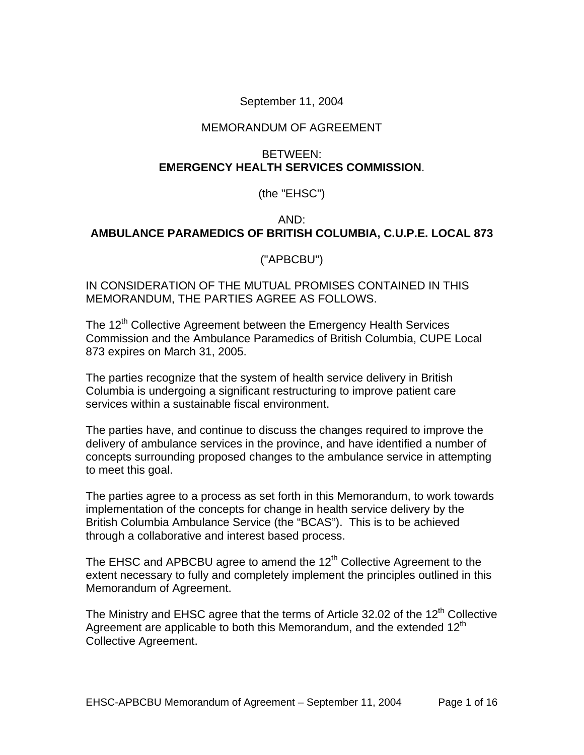September 11, 2004

## MEMORANDUM OF AGREEMENT

# BETWEEN: **EMERGENCY HEALTH SERVICES COMMISSION**.

# (the "EHSC")

# AND: **AMBULANCE PARAMEDICS OF BRITISH COLUMBIA, C.U.P.E. LOCAL 873**

# ("APBCBU")

## IN CONSIDERATION OF THE MUTUAL PROMISES CONTAINED IN THIS MEMORANDUM, THE PARTIES AGREE AS FOLLOWS.

The 12<sup>th</sup> Collective Agreement between the Emergency Health Services Commission and the Ambulance Paramedics of British Columbia, CUPE Local 873 expires on March 31, 2005.

The parties recognize that the system of health service delivery in British Columbia is undergoing a significant restructuring to improve patient care services within a sustainable fiscal environment.

The parties have, and continue to discuss the changes required to improve the delivery of ambulance services in the province, and have identified a number of concepts surrounding proposed changes to the ambulance service in attempting to meet this goal.

The parties agree to a process as set forth in this Memorandum, to work towards implementation of the concepts for change in health service delivery by the British Columbia Ambulance Service (the "BCAS"). This is to be achieved through a collaborative and interest based process.

The EHSC and APBCBU agree to amend the  $12<sup>th</sup>$  Collective Agreement to the extent necessary to fully and completely implement the principles outlined in this Memorandum of Agreement.

The Ministry and EHSC agree that the terms of Article 32.02 of the  $12<sup>th</sup>$  Collective Agreement are applicable to both this Memorandum, and the extended  $12<sup>th</sup>$ Collective Agreement.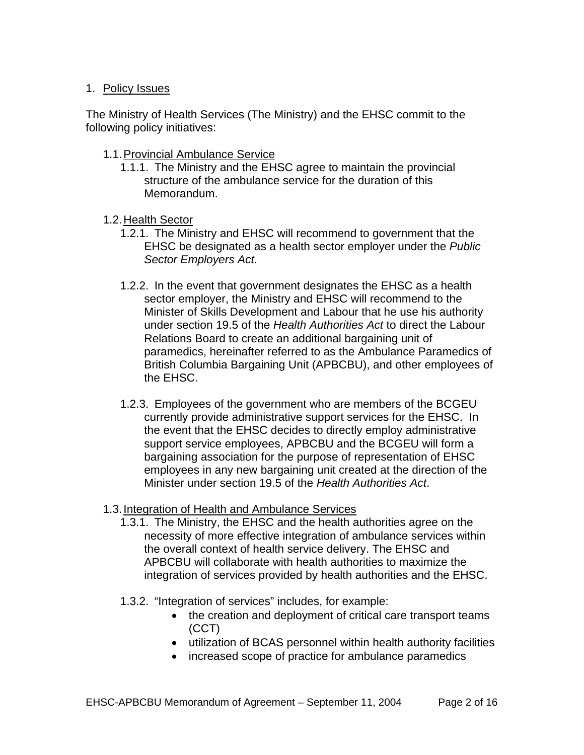#### 1. Policy Issues

The Ministry of Health Services (The Ministry) and the EHSC commit to the following policy initiatives:

- 1.1. Provincial Ambulance Service
	- 1.1.1. The Ministry and the EHSC agree to maintain the provincial structure of the ambulance service for the duration of this Memorandum.
- 1.2. Health Sector
	- 1.2.1. The Ministry and EHSC will recommend to government that the EHSC be designated as a health sector employer under the *Public Sector Employers Act.*
	- 1.2.2. In the event that government designates the EHSC as a health sector employer, the Ministry and EHSC will recommend to the Minister of Skills Development and Labour that he use his authority under section 19.5 of the *Health Authorities Act* to direct the Labour Relations Board to create an additional bargaining unit of paramedics, hereinafter referred to as the Ambulance Paramedics of British Columbia Bargaining Unit (APBCBU), and other employees of the EHSC.
	- 1.2.3. Employees of the government who are members of the BCGEU currently provide administrative support services for the EHSC. In the event that the EHSC decides to directly employ administrative support service employees, APBCBU and the BCGEU will form a bargaining association for the purpose of representation of EHSC employees in any new bargaining unit created at the direction of the Minister under section 19.5 of the *Health Authorities Act*.

#### 1.3. Integration of Health and Ambulance Services

- 1.3.1. The Ministry, the EHSC and the health authorities agree on the necessity of more effective integration of ambulance services within the overall context of health service delivery. The EHSC and APBCBU will collaborate with health authorities to maximize the integration of services provided by health authorities and the EHSC.
- 1.3.2. "Integration of services" includes, for example:
	- the creation and deployment of critical care transport teams (CCT)
	- utilization of BCAS personnel within health authority facilities
	- increased scope of practice for ambulance paramedics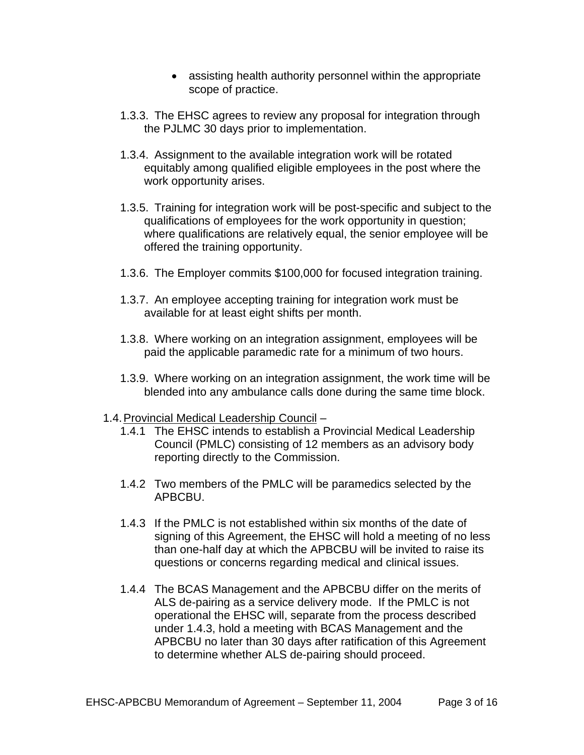- assisting health authority personnel within the appropriate scope of practice.
- 1.3.3. The EHSC agrees to review any proposal for integration through the PJLMC 30 days prior to implementation.
- 1.3.4. Assignment to the available integration work will be rotated equitably among qualified eligible employees in the post where the work opportunity arises.
- 1.3.5. Training for integration work will be post-specific and subject to the qualifications of employees for the work opportunity in question; where qualifications are relatively equal, the senior employee will be offered the training opportunity.
- 1.3.6. The Employer commits \$100,000 for focused integration training.
- 1.3.7. An employee accepting training for integration work must be available for at least eight shifts per month.
- 1.3.8. Where working on an integration assignment, employees will be paid the applicable paramedic rate for a minimum of two hours.
- 1.3.9. Where working on an integration assignment, the work time will be blended into any ambulance calls done during the same time block.
- 1.4. Provincial Medical Leadership Council
	- 1.4.1 The EHSC intends to establish a Provincial Medical Leadership Council (PMLC) consisting of 12 members as an advisory body reporting directly to the Commission.
	- 1.4.2 Two members of the PMLC will be paramedics selected by the APBCBU.
	- 1.4.3 If the PMLC is not established within six months of the date of signing of this Agreement, the EHSC will hold a meeting of no less than one-half day at which the APBCBU will be invited to raise its questions or concerns regarding medical and clinical issues.
	- 1.4.4 The BCAS Management and the APBCBU differ on the merits of ALS de-pairing as a service delivery mode. If the PMLC is not operational the EHSC will, separate from the process described under 1.4.3, hold a meeting with BCAS Management and the APBCBU no later than 30 days after ratification of this Agreement to determine whether ALS de-pairing should proceed.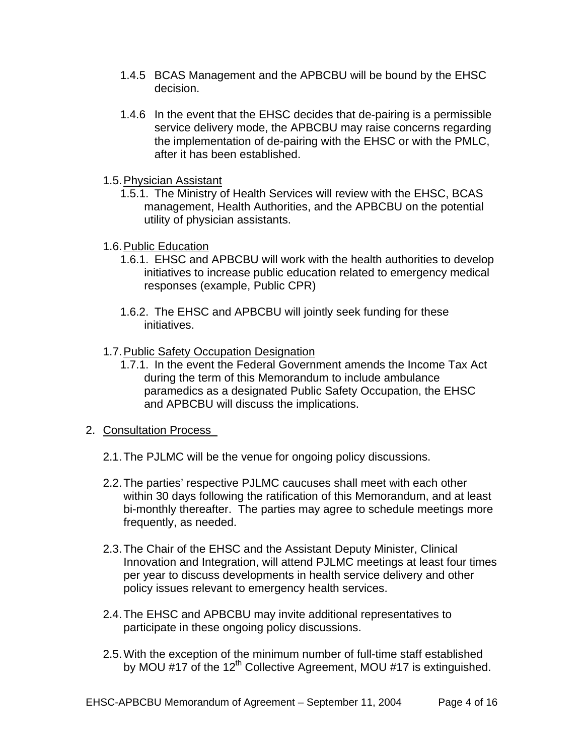- 1.4.5 BCAS Management and the APBCBU will be bound by the EHSC decision.
- 1.4.6 In the event that the EHSC decides that de-pairing is a permissible service delivery mode, the APBCBU may raise concerns regarding the implementation of de-pairing with the EHSC or with the PMLC, after it has been established.
- 1.5. Physician Assistant
	- 1.5.1. The Ministry of Health Services will review with the EHSC, BCAS management, Health Authorities, and the APBCBU on the potential utility of physician assistants.
- 1.6. Public Education
	- 1.6.1. EHSC and APBCBU will work with the health authorities to develop initiatives to increase public education related to emergency medical responses (example, Public CPR)
	- 1.6.2. The EHSC and APBCBU will jointly seek funding for these initiatives.
- 1.7. Public Safety Occupation Designation
	- 1.7.1. In the event the Federal Government amends the Income Tax Act during the term of this Memorandum to include ambulance paramedics as a designated Public Safety Occupation, the EHSC and APBCBU will discuss the implications.

#### 2. Consultation Process

- 2.1. The PJLMC will be the venue for ongoing policy discussions.
- 2.2. The parties' respective PJLMC caucuses shall meet with each other within 30 days following the ratification of this Memorandum, and at least bi-monthly thereafter. The parties may agree to schedule meetings more frequently, as needed.
- 2.3. The Chair of the EHSC and the Assistant Deputy Minister, Clinical Innovation and Integration, will attend PJLMC meetings at least four times per year to discuss developments in health service delivery and other policy issues relevant to emergency health services.
- 2.4. The EHSC and APBCBU may invite additional representatives to participate in these ongoing policy discussions.
- 2.5. With the exception of the minimum number of full-time staff established by MOU #17 of the 12<sup>th</sup> Collective Agreement, MOU #17 is extinguished.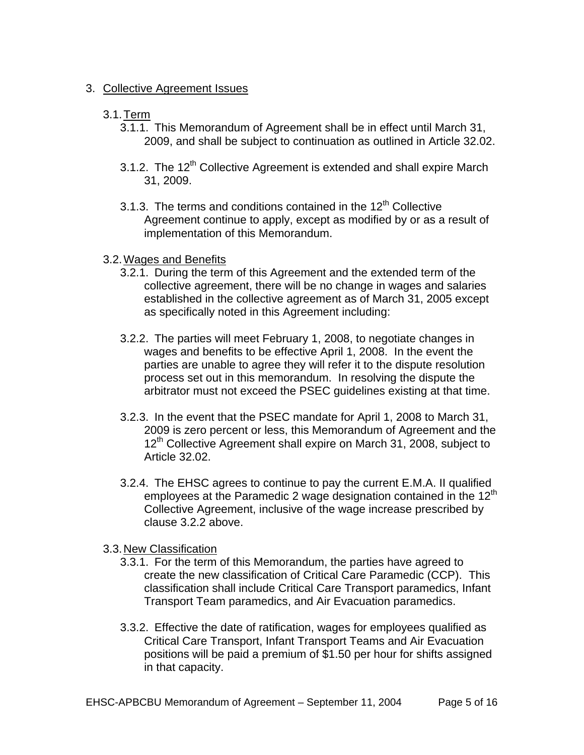## 3. Collective Agreement Issues

## 3.1. Term

- 3.1.1. This Memorandum of Agreement shall be in effect until March 31, 2009, and shall be subject to continuation as outlined in Article 32.02.
- 3.1.2. The 12<sup>th</sup> Collective Agreement is extended and shall expire March 31, 2009.
- 3.1.3. The terms and conditions contained in the  $12<sup>th</sup>$  Collective Agreement continue to apply, except as modified by or as a result of implementation of this Memorandum.

### 3.2. Wages and Benefits

- 3.2.1. During the term of this Agreement and the extended term of the collective agreement, there will be no change in wages and salaries established in the collective agreement as of March 31, 2005 except as specifically noted in this Agreement including:
- 3.2.2. The parties will meet February 1, 2008, to negotiate changes in wages and benefits to be effective April 1, 2008. In the event the parties are unable to agree they will refer it to the dispute resolution process set out in this memorandum. In resolving the dispute the arbitrator must not exceed the PSEC guidelines existing at that time.
- 3.2.3. In the event that the PSEC mandate for April 1, 2008 to March 31, 2009 is zero percent or less, this Memorandum of Agreement and the 12<sup>th</sup> Collective Agreement shall expire on March 31, 2008, subject to Article 32.02.
- 3.2.4. The EHSC agrees to continue to pay the current E.M.A. II qualified employees at the Paramedic 2 wage designation contained in the  $12<sup>th</sup>$ Collective Agreement, inclusive of the wage increase prescribed by clause 3.2.2 above.

### 3.3. New Classification

- 3.3.1. For the term of this Memorandum, the parties have agreed to create the new classification of Critical Care Paramedic (CCP). This classification shall include Critical Care Transport paramedics, Infant Transport Team paramedics, and Air Evacuation paramedics.
- 3.3.2. Effective the date of ratification, wages for employees qualified as Critical Care Transport, Infant Transport Teams and Air Evacuation positions will be paid a premium of \$1.50 per hour for shifts assigned in that capacity.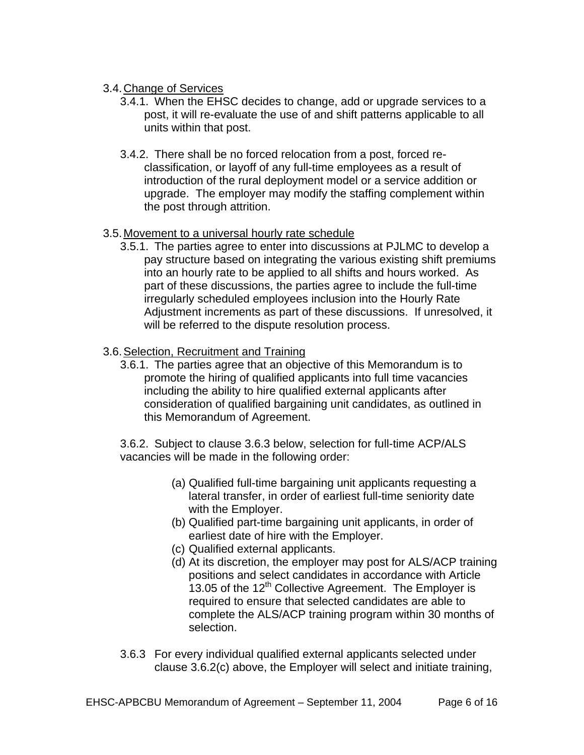### 3.4. Change of Services

- 3.4.1. When the EHSC decides to change, add or upgrade services to a post, it will re-evaluate the use of and shift patterns applicable to all units within that post.
- 3.4.2. There shall be no forced relocation from a post, forced reclassification, or layoff of any full-time employees as a result of introduction of the rural deployment model or a service addition or upgrade. The employer may modify the staffing complement within the post through attrition.

#### 3.5. Movement to a universal hourly rate schedule

3.5.1. The parties agree to enter into discussions at PJLMC to develop a pay structure based on integrating the various existing shift premiums into an hourly rate to be applied to all shifts and hours worked. As part of these discussions, the parties agree to include the full-time irregularly scheduled employees inclusion into the Hourly Rate Adjustment increments as part of these discussions. If unresolved, it will be referred to the dispute resolution process.

#### 3.6. Selection, Recruitment and Training

3.6.1. The parties agree that an objective of this Memorandum is to promote the hiring of qualified applicants into full time vacancies including the ability to hire qualified external applicants after consideration of qualified bargaining unit candidates, as outlined in this Memorandum of Agreement.

3.6.2. Subject to clause 3.6.3 below, selection for full-time ACP/ALS vacancies will be made in the following order:

- (a) Qualified full-time bargaining unit applicants requesting a lateral transfer, in order of earliest full-time seniority date with the Employer.
- (b) Qualified part-time bargaining unit applicants, in order of earliest date of hire with the Employer.
- (c) Qualified external applicants.
- (d) At its discretion, the employer may post for ALS/ACP training positions and select candidates in accordance with Article 13.05 of the  $12<sup>th</sup>$  Collective Agreement. The Employer is required to ensure that selected candidates are able to complete the ALS/ACP training program within 30 months of selection.
- 3.6.3 For every individual qualified external applicants selected under clause 3.6.2(c) above, the Employer will select and initiate training,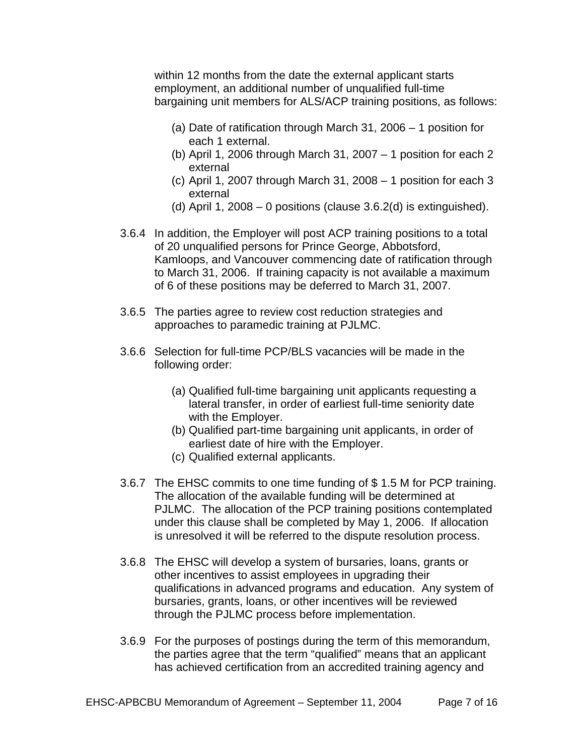within 12 months from the date the external applicant starts employment, an additional number of unqualified full-time bargaining unit members for ALS/ACP training positions, as follows:

- (a) Date of ratification through March 31, 2006 1 position for each 1 external.
- (b) April 1, 2006 through March 31, 2007 1 position for each 2 external
- (c) April 1, 2007 through March 31, 2008 1 position for each 3 external
- (d) April 1, 2008 0 positions (clause 3.6.2(d) is extinguished).
- 3.6.4 In addition, the Employer will post ACP training positions to a total of 20 unqualified persons for Prince George, Abbotsford, Kamloops, and Vancouver commencing date of ratification through to March 31, 2006. If training capacity is not available a maximum of 6 of these positions may be deferred to March 31, 2007.
- 3.6.5 The parties agree to review cost reduction strategies and approaches to paramedic training at PJLMC.
- 3.6.6 Selection for full-time PCP/BLS vacancies will be made in the following order:
	- (a) Qualified full-time bargaining unit applicants requesting a lateral transfer, in order of earliest full-time seniority date with the Employer.
	- (b) Qualified part-time bargaining unit applicants, in order of earliest date of hire with the Employer.
	- (c) Qualified external applicants.
- 3.6.7 The EHSC commits to one time funding of \$ 1.5 M for PCP training. The allocation of the available funding will be determined at PJLMC. The allocation of the PCP training positions contemplated under this clause shall be completed by May 1, 2006. If allocation is unresolved it will be referred to the dispute resolution process.
- 3.6.8 The EHSC will develop a system of bursaries, loans, grants or other incentives to assist employees in upgrading their qualifications in advanced programs and education. Any system of bursaries, grants, loans, or other incentives will be reviewed through the PJLMC process before implementation.
- 3.6.9 For the purposes of postings during the term of this memorandum, the parties agree that the term "qualified" means that an applicant has achieved certification from an accredited training agency and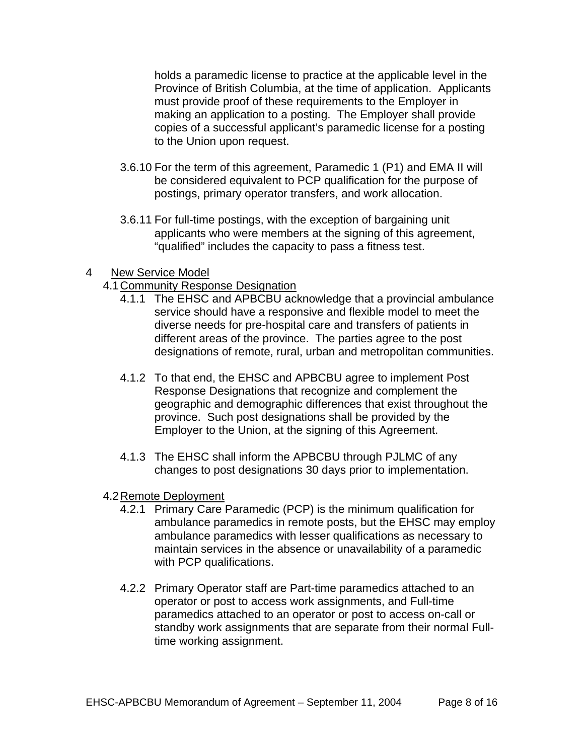holds a paramedic license to practice at the applicable level in the Province of British Columbia, at the time of application. Applicants must provide proof of these requirements to the Employer in making an application to a posting. The Employer shall provide copies of a successful applicant's paramedic license for a posting to the Union upon request.

- 3.6.10 For the term of this agreement, Paramedic 1 (P1) and EMA II will be considered equivalent to PCP qualification for the purpose of postings, primary operator transfers, and work allocation.
- 3.6.11 For full-time postings, with the exception of bargaining unit applicants who were members at the signing of this agreement, "qualified" includes the capacity to pass a fitness test.

### 4 New Service Model

- 4.1 Community Response Designation
	- 4.1.1 The EHSC and APBCBU acknowledge that a provincial ambulance service should have a responsive and flexible model to meet the diverse needs for pre-hospital care and transfers of patients in different areas of the province. The parties agree to the post designations of remote, rural, urban and metropolitan communities.
	- 4.1.2 To that end, the EHSC and APBCBU agree to implement Post Response Designations that recognize and complement the geographic and demographic differences that exist throughout the province. Such post designations shall be provided by the Employer to the Union, at the signing of this Agreement.
	- 4.1.3 The EHSC shall inform the APBCBU through PJLMC of any changes to post designations 30 days prior to implementation.

### 4.2 Remote Deployment

- 4.2.1 Primary Care Paramedic (PCP) is the minimum qualification for ambulance paramedics in remote posts, but the EHSC may employ ambulance paramedics with lesser qualifications as necessary to maintain services in the absence or unavailability of a paramedic with PCP qualifications.
- 4.2.2 Primary Operator staff are Part-time paramedics attached to an operator or post to access work assignments, and Full-time paramedics attached to an operator or post to access on-call or standby work assignments that are separate from their normal Fulltime working assignment.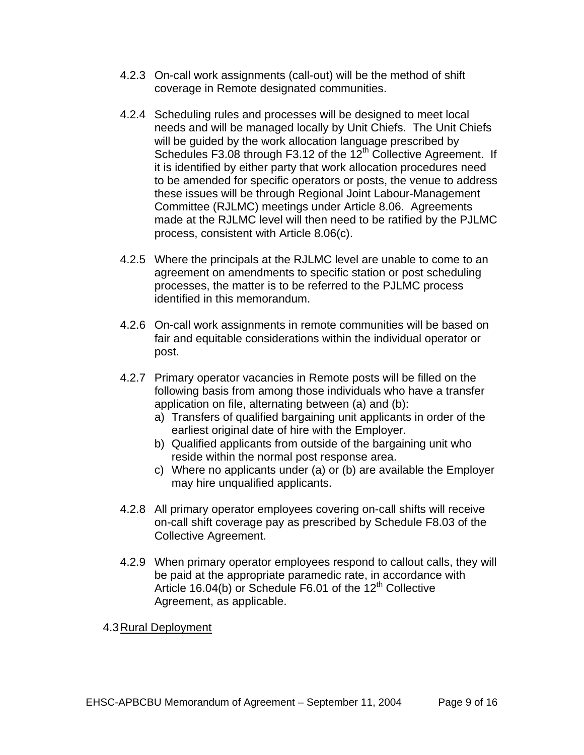- 4.2.3 On-call work assignments (call-out) will be the method of shift coverage in Remote designated communities.
- 4.2.4 Scheduling rules and processes will be designed to meet local needs and will be managed locally by Unit Chiefs. The Unit Chiefs will be guided by the work allocation language prescribed by Schedules F3.08 through F3.12 of the 12<sup>th</sup> Collective Agreement. If it is identified by either party that work allocation procedures need to be amended for specific operators or posts, the venue to address these issues will be through Regional Joint Labour-Management Committee (RJLMC) meetings under Article 8.06. Agreements made at the RJLMC level will then need to be ratified by the PJLMC process, consistent with Article 8.06(c).
- 4.2.5 Where the principals at the RJLMC level are unable to come to an agreement on amendments to specific station or post scheduling processes, the matter is to be referred to the PJLMC process identified in this memorandum.
- 4.2.6 On-call work assignments in remote communities will be based on fair and equitable considerations within the individual operator or post.
- 4.2.7 Primary operator vacancies in Remote posts will be filled on the following basis from among those individuals who have a transfer application on file, alternating between (a) and (b):
	- a) Transfers of qualified bargaining unit applicants in order of the earliest original date of hire with the Employer.
	- b) Qualified applicants from outside of the bargaining unit who reside within the normal post response area.
	- c) Where no applicants under (a) or (b) are available the Employer may hire unqualified applicants.
- 4.2.8 All primary operator employees covering on-call shifts will receive on-call shift coverage pay as prescribed by Schedule F8.03 of the Collective Agreement.
- 4.2.9 When primary operator employees respond to callout calls, they will be paid at the appropriate paramedic rate, in accordance with Article 16.04(b) or Schedule F6.01 of the  $12<sup>th</sup>$  Collective Agreement, as applicable.

### 4.3 Rural Deployment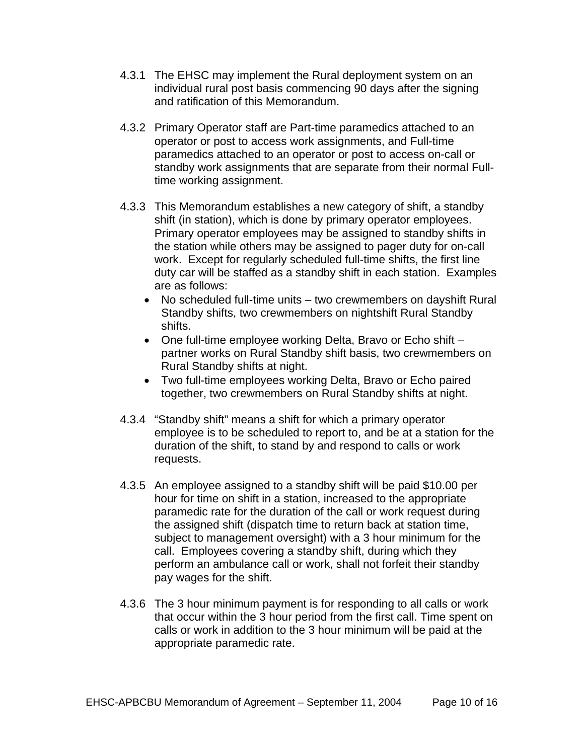- 4.3.1 The EHSC may implement the Rural deployment system on an individual rural post basis commencing 90 days after the signing and ratification of this Memorandum.
- 4.3.2 Primary Operator staff are Part-time paramedics attached to an operator or post to access work assignments, and Full-time paramedics attached to an operator or post to access on-call or standby work assignments that are separate from their normal Fulltime working assignment.
- 4.3.3 This Memorandum establishes a new category of shift, a standby shift (in station), which is done by primary operator employees. Primary operator employees may be assigned to standby shifts in the station while others may be assigned to pager duty for on-call work. Except for regularly scheduled full-time shifts, the first line duty car will be staffed as a standby shift in each station. Examples are as follows:
	- No scheduled full-time units two crewmembers on dayshift Rural Standby shifts, two crewmembers on nightshift Rural Standby shifts.
	- One full-time employee working Delta, Bravo or Echo shift partner works on Rural Standby shift basis, two crewmembers on Rural Standby shifts at night.
	- Two full-time employees working Delta, Bravo or Echo paired together, two crewmembers on Rural Standby shifts at night.
- 4.3.4 "Standby shift" means a shift for which a primary operator employee is to be scheduled to report to, and be at a station for the duration of the shift, to stand by and respond to calls or work requests.
- 4.3.5 An employee assigned to a standby shift will be paid \$10.00 per hour for time on shift in a station, increased to the appropriate paramedic rate for the duration of the call or work request during the assigned shift (dispatch time to return back at station time, subject to management oversight) with a 3 hour minimum for the call. Employees covering a standby shift, during which they perform an ambulance call or work, shall not forfeit their standby pay wages for the shift.
- 4.3.6 The 3 hour minimum payment is for responding to all calls or work that occur within the 3 hour period from the first call. Time spent on calls or work in addition to the 3 hour minimum will be paid at the appropriate paramedic rate.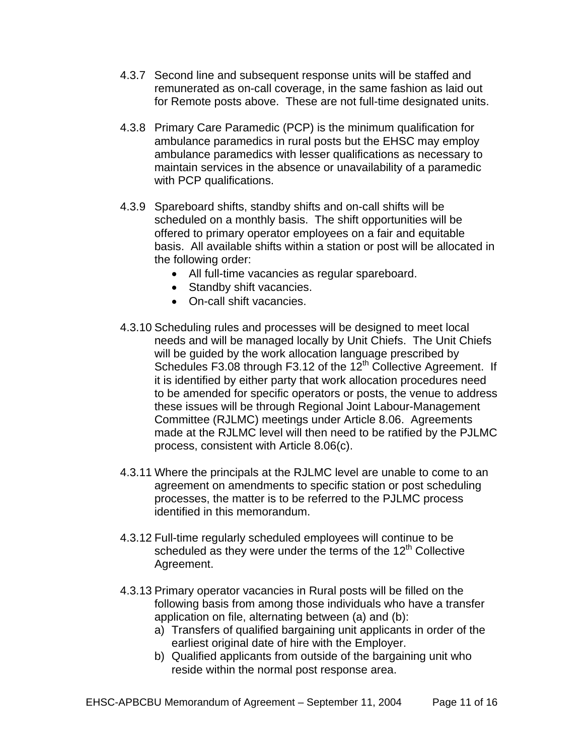- 4.3.7 Second line and subsequent response units will be staffed and remunerated as on-call coverage, in the same fashion as laid out for Remote posts above. These are not full-time designated units.
- 4.3.8 Primary Care Paramedic (PCP) is the minimum qualification for ambulance paramedics in rural posts but the EHSC may employ ambulance paramedics with lesser qualifications as necessary to maintain services in the absence or unavailability of a paramedic with PCP qualifications.
- 4.3.9 Spareboard shifts, standby shifts and on-call shifts will be scheduled on a monthly basis. The shift opportunities will be offered to primary operator employees on a fair and equitable basis. All available shifts within a station or post will be allocated in the following order:
	- All full-time vacancies as regular spareboard.
	- Standby shift vacancies.
	- On-call shift vacancies.
- 4.3.10 Scheduling rules and processes will be designed to meet local needs and will be managed locally by Unit Chiefs. The Unit Chiefs will be guided by the work allocation language prescribed by Schedules F3.08 through F3.12 of the 12<sup>th</sup> Collective Agreement. If it is identified by either party that work allocation procedures need to be amended for specific operators or posts, the venue to address these issues will be through Regional Joint Labour-Management Committee (RJLMC) meetings under Article 8.06. Agreements made at the RJLMC level will then need to be ratified by the PJLMC process, consistent with Article 8.06(c).
- 4.3.11 Where the principals at the RJLMC level are unable to come to an agreement on amendments to specific station or post scheduling processes, the matter is to be referred to the PJLMC process identified in this memorandum.
- 4.3.12 Full-time regularly scheduled employees will continue to be scheduled as they were under the terms of the  $12<sup>th</sup>$  Collective Agreement.
- 4.3.13 Primary operator vacancies in Rural posts will be filled on the following basis from among those individuals who have a transfer application on file, alternating between (a) and (b):
	- a) Transfers of qualified bargaining unit applicants in order of the earliest original date of hire with the Employer.
	- b) Qualified applicants from outside of the bargaining unit who reside within the normal post response area.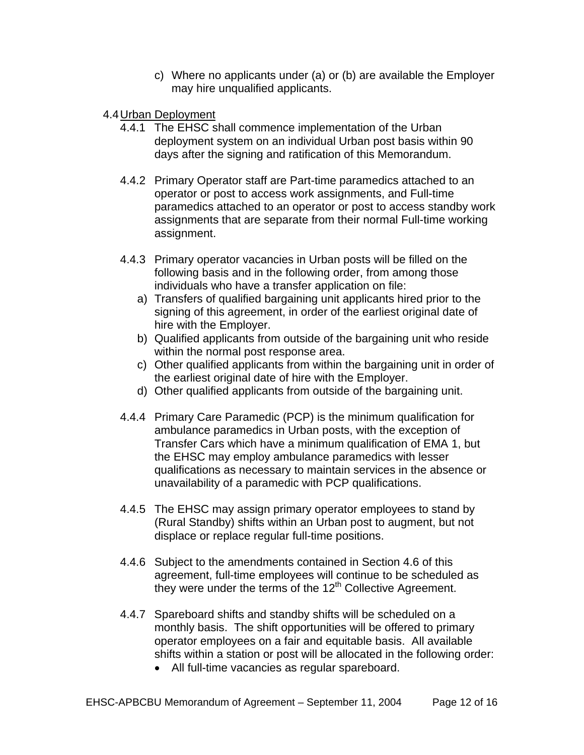- c) Where no applicants under (a) or (b) are available the Employer may hire unqualified applicants.
- 4.4 Urban Deployment
	- 4.4.1 The EHSC shall commence implementation of the Urban deployment system on an individual Urban post basis within 90 days after the signing and ratification of this Memorandum.
	- 4.4.2 Primary Operator staff are Part-time paramedics attached to an operator or post to access work assignments, and Full-time paramedics attached to an operator or post to access standby work assignments that are separate from their normal Full-time working assignment.
	- 4.4.3 Primary operator vacancies in Urban posts will be filled on the following basis and in the following order, from among those individuals who have a transfer application on file:
		- a) Transfers of qualified bargaining unit applicants hired prior to the signing of this agreement, in order of the earliest original date of hire with the Employer.
		- b) Qualified applicants from outside of the bargaining unit who reside within the normal post response area.
		- c) Other qualified applicants from within the bargaining unit in order of the earliest original date of hire with the Employer.
		- d) Other qualified applicants from outside of the bargaining unit.
	- 4.4.4 Primary Care Paramedic (PCP) is the minimum qualification for ambulance paramedics in Urban posts, with the exception of Transfer Cars which have a minimum qualification of EMA 1, but the EHSC may employ ambulance paramedics with lesser qualifications as necessary to maintain services in the absence or unavailability of a paramedic with PCP qualifications.
	- 4.4.5 The EHSC may assign primary operator employees to stand by (Rural Standby) shifts within an Urban post to augment, but not displace or replace regular full-time positions.
	- 4.4.6 Subject to the amendments contained in Section 4.6 of this agreement, full-time employees will continue to be scheduled as they were under the terms of the 12<sup>th</sup> Collective Agreement.
	- 4.4.7 Spareboard shifts and standby shifts will be scheduled on a monthly basis. The shift opportunities will be offered to primary operator employees on a fair and equitable basis. All available shifts within a station or post will be allocated in the following order:
		- All full-time vacancies as regular spareboard.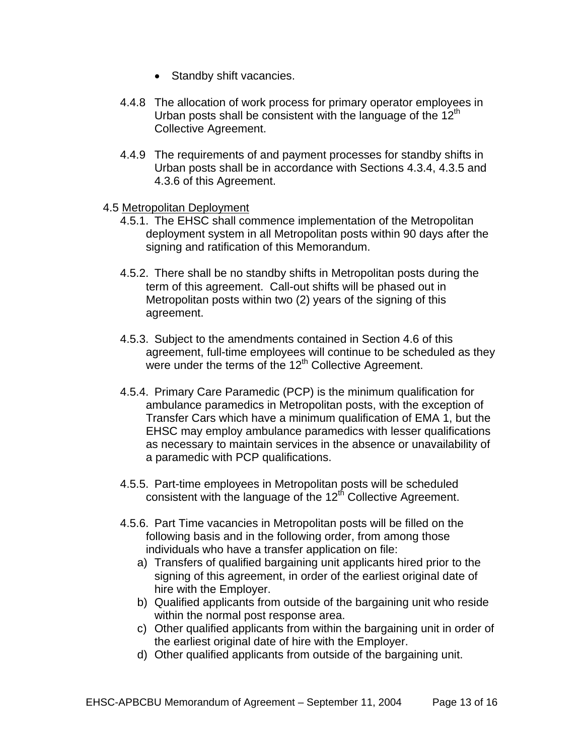- Standby shift vacancies.
- 4.4.8 The allocation of work process for primary operator employees in Urban posts shall be consistent with the language of the  $12<sup>th</sup>$ Collective Agreement.
- 4.4.9 The requirements of and payment processes for standby shifts in Urban posts shall be in accordance with Sections 4.3.4, 4.3.5 and 4.3.6 of this Agreement.

#### 4.5 Metropolitan Deployment

- 4.5.1. The EHSC shall commence implementation of the Metropolitan deployment system in all Metropolitan posts within 90 days after the signing and ratification of this Memorandum.
- 4.5.2. There shall be no standby shifts in Metropolitan posts during the term of this agreement. Call-out shifts will be phased out in Metropolitan posts within two (2) years of the signing of this agreement.
- 4.5.3. Subject to the amendments contained in Section 4.6 of this agreement, full-time employees will continue to be scheduled as they were under the terms of the 12<sup>th</sup> Collective Agreement.
- 4.5.4. Primary Care Paramedic (PCP) is the minimum qualification for ambulance paramedics in Metropolitan posts, with the exception of Transfer Cars which have a minimum qualification of EMA 1, but the EHSC may employ ambulance paramedics with lesser qualifications as necessary to maintain services in the absence or unavailability of a paramedic with PCP qualifications.
- 4.5.5. Part-time employees in Metropolitan posts will be scheduled consistent with the language of the  $12<sup>th</sup>$  Collective Agreement.
- 4.5.6. Part Time vacancies in Metropolitan posts will be filled on the following basis and in the following order, from among those individuals who have a transfer application on file:
	- a) Transfers of qualified bargaining unit applicants hired prior to the signing of this agreement, in order of the earliest original date of hire with the Employer.
	- b) Qualified applicants from outside of the bargaining unit who reside within the normal post response area.
	- c) Other qualified applicants from within the bargaining unit in order of the earliest original date of hire with the Employer.
	- d) Other qualified applicants from outside of the bargaining unit.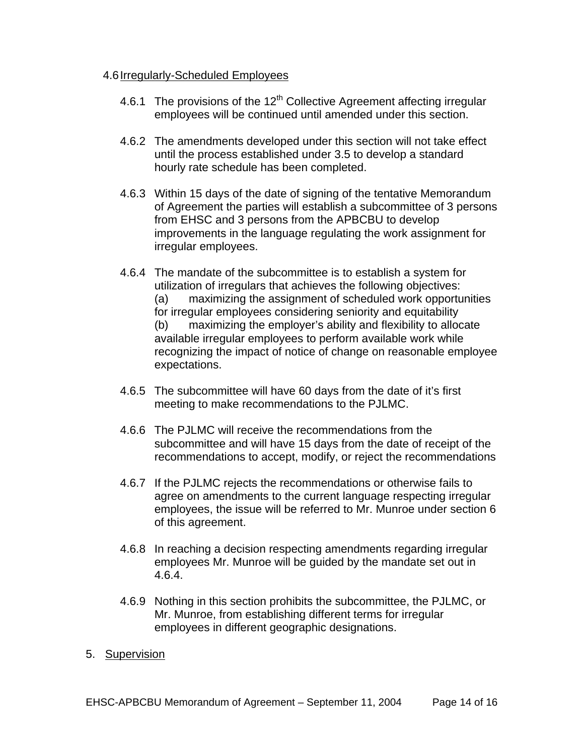### 4.6 Irregularly-Scheduled Employees

- 4.6.1 The provisions of the  $12<sup>th</sup>$  Collective Agreement affecting irregular employees will be continued until amended under this section.
- 4.6.2 The amendments developed under this section will not take effect until the process established under 3.5 to develop a standard hourly rate schedule has been completed.
- 4.6.3 Within 15 days of the date of signing of the tentative Memorandum of Agreement the parties will establish a subcommittee of 3 persons from EHSC and 3 persons from the APBCBU to develop improvements in the language regulating the work assignment for irregular employees.
- 4.6.4 The mandate of the subcommittee is to establish a system for utilization of irregulars that achieves the following objectives: (a) maximizing the assignment of scheduled work opportunities for irregular employees considering seniority and equitability (b) maximizing the employer's ability and flexibility to allocate available irregular employees to perform available work while recognizing the impact of notice of change on reasonable employee expectations.
- 4.6.5 The subcommittee will have 60 days from the date of it's first meeting to make recommendations to the PJLMC.
- 4.6.6 The PJLMC will receive the recommendations from the subcommittee and will have 15 days from the date of receipt of the recommendations to accept, modify, or reject the recommendations
- 4.6.7 If the PJLMC rejects the recommendations or otherwise fails to agree on amendments to the current language respecting irregular employees, the issue will be referred to Mr. Munroe under section 6 of this agreement.
- 4.6.8 In reaching a decision respecting amendments regarding irregular employees Mr. Munroe will be guided by the mandate set out in 4.6.4.
- 4.6.9 Nothing in this section prohibits the subcommittee, the PJLMC, or Mr. Munroe, from establishing different terms for irregular employees in different geographic designations.
- 5. Supervision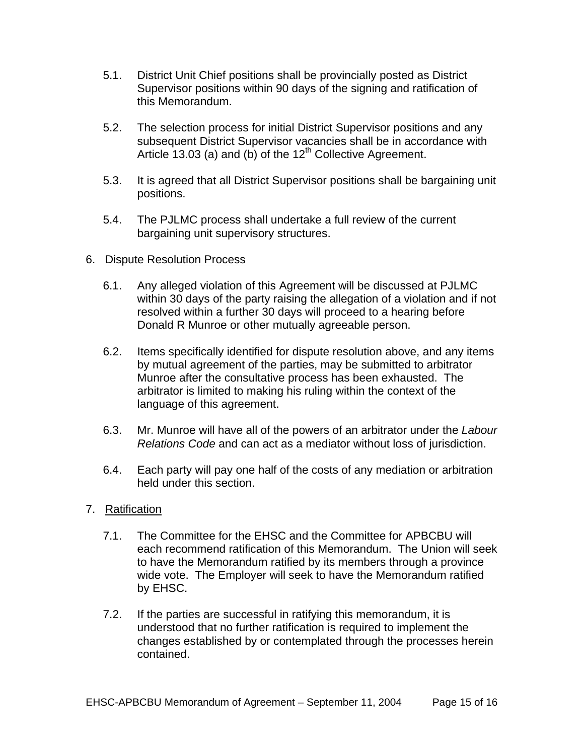- 5.1. District Unit Chief positions shall be provincially posted as District Supervisor positions within 90 days of the signing and ratification of this Memorandum.
- 5.2. The selection process for initial District Supervisor positions and any subsequent District Supervisor vacancies shall be in accordance with Article 13.03 (a) and (b) of the  $12<sup>th</sup>$  Collective Agreement.
- 5.3. It is agreed that all District Supervisor positions shall be bargaining unit positions.
- 5.4. The PJLMC process shall undertake a full review of the current bargaining unit supervisory structures.

### 6. Dispute Resolution Process

- 6.1. Any alleged violation of this Agreement will be discussed at PJLMC within 30 days of the party raising the allegation of a violation and if not resolved within a further 30 days will proceed to a hearing before Donald R Munroe or other mutually agreeable person.
- 6.2. Items specifically identified for dispute resolution above, and any items by mutual agreement of the parties, may be submitted to arbitrator Munroe after the consultative process has been exhausted. The arbitrator is limited to making his ruling within the context of the language of this agreement.
- 6.3. Mr. Munroe will have all of the powers of an arbitrator under the *Labour Relations Code* and can act as a mediator without loss of jurisdiction.
- 6.4. Each party will pay one half of the costs of any mediation or arbitration held under this section.

### 7. Ratification

- 7.1. The Committee for the EHSC and the Committee for APBCBU will each recommend ratification of this Memorandum. The Union will seek to have the Memorandum ratified by its members through a province wide vote. The Employer will seek to have the Memorandum ratified by EHSC.
- 7.2. If the parties are successful in ratifying this memorandum, it is understood that no further ratification is required to implement the changes established by or contemplated through the processes herein contained.